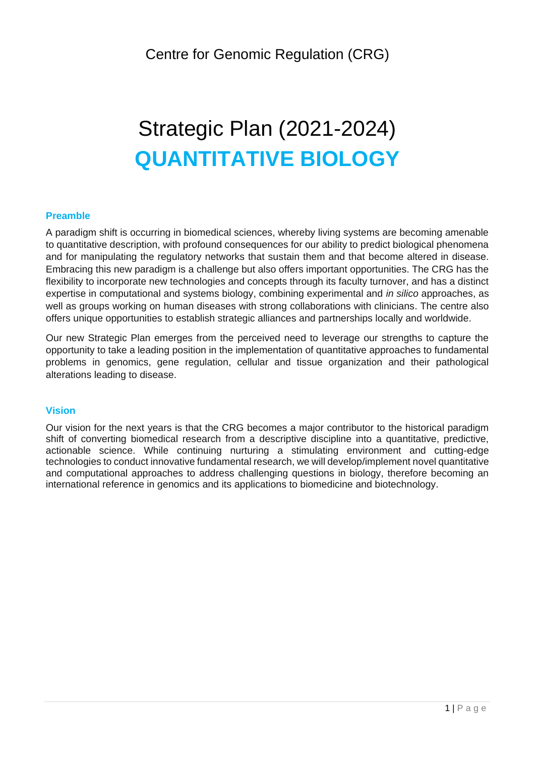# Strategic Plan (2021-2024) **QUANTITATIVE BIOLOGY**

# **Preamble**

A paradigm shift is occurring in biomedical sciences, whereby living systems are becoming amenable to quantitative description, with profound consequences for our ability to predict biological phenomena and for manipulating the regulatory networks that sustain them and that become altered in disease. Embracing this new paradigm is a challenge but also offers important opportunities. The CRG has the flexibility to incorporate new technologies and concepts through its faculty turnover, and has a distinct expertise in computational and systems biology, combining experimental and *in silico* approaches, as well as groups working on human diseases with strong collaborations with clinicians. The centre also offers unique opportunities to establish strategic alliances and partnerships locally and worldwide.

Our new Strategic Plan emerges from the perceived need to leverage our strengths to capture the opportunity to take a leading position in the implementation of quantitative approaches to fundamental problems in genomics, gene regulation, cellular and tissue organization and their pathological alterations leading to disease.

#### **Vision**

Our vision for the next years is that the CRG becomes a major contributor to the historical paradigm shift of converting biomedical research from a descriptive discipline into a quantitative, predictive, actionable science. While continuing nurturing a stimulating environment and cutting-edge technologies to conduct innovative fundamental research, we will develop/implement novel quantitative and computational approaches to address challenging questions in biology, therefore becoming an international reference in genomics and its applications to biomedicine and biotechnology.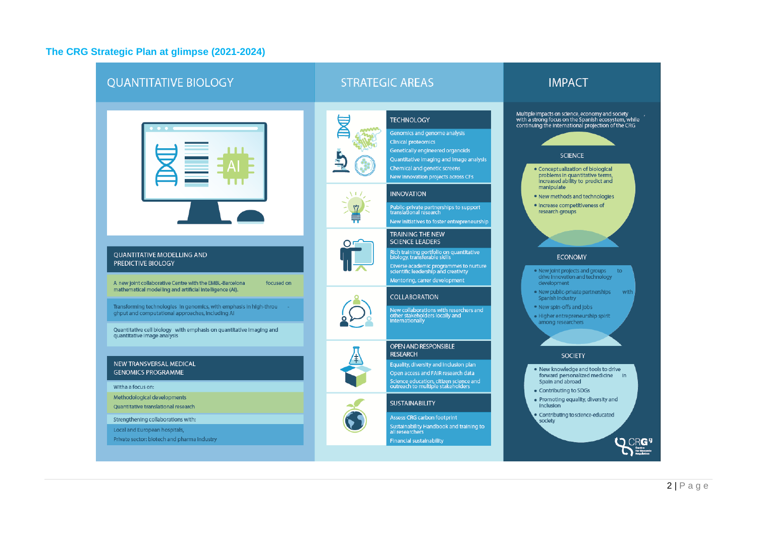# **The CRG Strategic Plan at glimpse (2021-2024)**

| <b>QUANTITATIVE BIOLOGY</b>                                                                                                                                                                                                                                                                                                                                                                           | <b>STRATEGIC AREAS</b>                                                                                                                                                                                                                                                                                                                                                                                                                                                                                                                                                                                                                                                                                                                         | <b>IMPACT</b>                                                                                                                                                                                                                                                                                                                                                                                                                                                                                                                                                                                                                                                       |
|-------------------------------------------------------------------------------------------------------------------------------------------------------------------------------------------------------------------------------------------------------------------------------------------------------------------------------------------------------------------------------------------------------|------------------------------------------------------------------------------------------------------------------------------------------------------------------------------------------------------------------------------------------------------------------------------------------------------------------------------------------------------------------------------------------------------------------------------------------------------------------------------------------------------------------------------------------------------------------------------------------------------------------------------------------------------------------------------------------------------------------------------------------------|---------------------------------------------------------------------------------------------------------------------------------------------------------------------------------------------------------------------------------------------------------------------------------------------------------------------------------------------------------------------------------------------------------------------------------------------------------------------------------------------------------------------------------------------------------------------------------------------------------------------------------------------------------------------|
| <b>QUANTITATIVE MODELLING AND</b><br><b>PREDICTIVE BIOLOGY</b><br>A new joint collaborative Centre with the EMBL-Barcelona<br>focused on<br>mathematical modelling and artificial intelligence (AI).<br>Transforming technologies in genomics, with emphasis in high-throu<br>ghput and computational approaches, including AI<br>Quantitative cell biology with emphasis on quantitative imaging and | <b>TECHNOLOGY</b><br>Genomics and genome analysis<br>Clinical proteomics<br>Genetically engineered organoids<br>Quantitative imaging and image analysis<br>Chemical and genetic screens<br>New innovation projects across CFs<br><b>INNOVATION</b><br>Public-private partnerships to support<br>translational research<br>New initiatives to foster entrepreneurship<br><b>TRAINING THE NEW</b><br><b>SCIENCE LEADERS</b><br>Rich training portfolio on quantitative<br>biology, transferable skills<br>Diverse academic programmes to nurture<br>scientific leadership and creativity<br>Mentoring, carrer development<br><b>COLLABORATION</b><br>New collaborations with reserchers and<br>other stakeholders locally and<br>internationally | Multiple impacts on science, economy and society<br>with a strong focus on the Spanish ecosystem, while<br>continuing the international projection of the CRG<br><b>SCIENCE</b><br>• Conceptualization of biological<br>problems in quantitative terms,<br>increased ability to predict and<br>manipulate<br>. New methods and technologies<br>· Increase competitiveness of<br>research groups<br><b>ECONOMY</b><br>. New joint projects and groups<br>to.<br>drive innovation and technology<br>development<br>· New public-private partnerships<br>with<br>Spanish Industry<br>. New spin-offs and jobs<br>· Higher entrepreneurship spirit<br>among researchers |
| quantitative image analysis<br><b>NEW TRANSVERSAL MEDICAL</b><br><b>GENOMICS PROGRAMME</b><br>Witha a focus on:<br>Methodological developments<br>Quantitative translational research<br>Strengthening collaborations with:<br>Local and European hospitals,<br>Private sector: biotech and pharma industry                                                                                           | <b>OPEN AND RESPONSIBLE</b><br><b>RESEARCH</b><br>Equality, diversity and inclusion plan<br>Open access and FAIR research data<br>Science education, citizen science and<br>outreach to multiple stakeholders<br><b>SUSTAINABILITY</b><br>Assess CRG carbon footprint<br>Sustainability Handbook and training to<br>all researchers<br><b>Financial sustainability</b>                                                                                                                                                                                                                                                                                                                                                                         | <b>SOCIETY</b><br>. New knowledge and tools to drive<br>forward personalized medicine in<br>Spain and abroad<br>• Contributing to SDGs<br>• Promoting equality, diversity and<br><b>inclusion</b><br>Contributing to science-educated<br>society                                                                                                                                                                                                                                                                                                                                                                                                                    |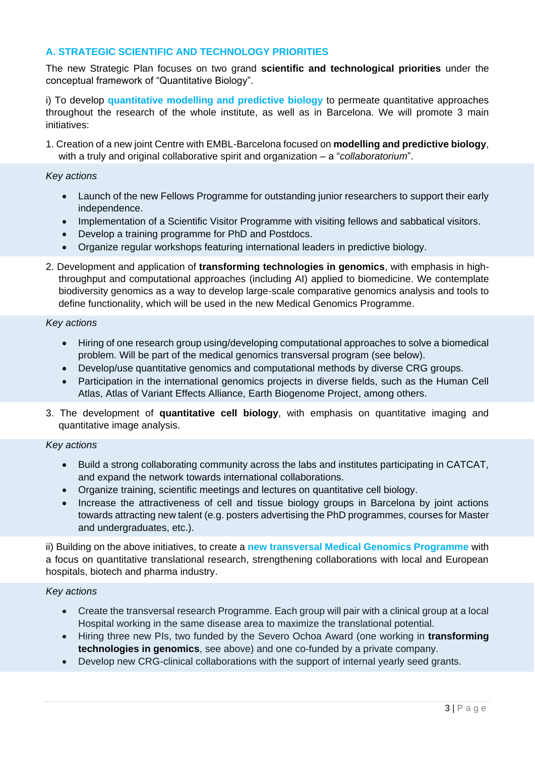## **A. STRATEGIC SCIENTIFIC AND TECHNOLOGY PRIORITIES**

The new Strategic Plan focuses on two grand **scientific and technological priorities** under the conceptual framework of "Quantitative Biology".

i) To develop **quantitative modelling and predictive biology** to permeate quantitative approaches throughout the research of the whole institute, as well as in Barcelona. We will promote 3 main initiatives:

1. Creation of a new joint Centre with EMBL-Barcelona focused on **modelling and predictive biology**, with a truly and original collaborative spirit and organization – a "*collaboratorium*".

#### *Key actions*

- Launch of the new Fellows Programme for outstanding junior researchers to support their early independence.
- Implementation of a Scientific Visitor Programme with visiting fellows and sabbatical visitors.
- Develop a training programme for PhD and Postdocs.
- Organize regular workshops featuring international leaders in predictive biology.
- 2. Development and application of **transforming technologies in genomics**, with emphasis in highthroughput and computational approaches (including AI) applied to biomedicine. We contemplate biodiversity genomics as a way to develop large-scale comparative genomics analysis and tools to define functionality, which will be used in the new Medical Genomics Programme.

#### *Key actions*

- Hiring of one research group using/developing computational approaches to solve a biomedical problem. Will be part of the medical genomics transversal program (see below).
- Develop/use quantitative genomics and computational methods by diverse CRG groups.
- Participation in the international genomics projects in diverse fields, such as the Human Cell Atlas, Atlas of Variant Effects Alliance, Earth Biogenome Project, among others.
- 3. The development of **quantitative cell biology**, with emphasis on quantitative imaging and quantitative image analysis.

#### *Key actions*

- Build a strong collaborating community across the labs and institutes participating in CATCAT, and expand the network towards international collaborations.
- Organize training, scientific meetings and lectures on quantitative cell biology.
- Increase the attractiveness of cell and tissue biology groups in Barcelona by joint actions towards attracting new talent (e.g. posters advertising the PhD programmes, courses for Master and undergraduates, etc.).

ii) Building on the above initiatives, to create a **new transversal Medical Genomics Programme** with a focus on quantitative translational research, strengthening collaborations with local and European hospitals, biotech and pharma industry.

#### *Key actions*

- Create the transversal research Programme. Each group will pair with a clinical group at a local Hospital working in the same disease area to maximize the translational potential.
- Hiring three new PIs, two funded by the Severo Ochoa Award (one working in **transforming technologies in genomics**, see above) and one co-funded by a private company.
- Develop new CRG-clinical collaborations with the support of internal yearly seed grants.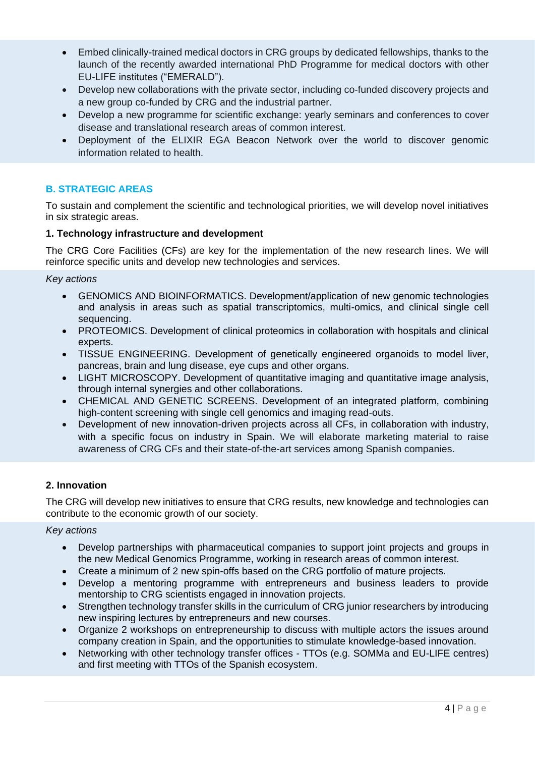- Embed clinically-trained medical doctors in CRG groups by dedicated fellowships, thanks to the launch of the recently awarded international PhD Programme for medical doctors with other EU-LIFE institutes ("EMERALD").
- Develop new collaborations with the private sector, including co-funded discovery projects and a new group co-funded by CRG and the industrial partner.
- Develop a new programme for scientific exchange: yearly seminars and conferences to cover disease and translational research areas of common interest.
- Deployment of the ELIXIR EGA Beacon Network over the world to discover genomic information related to health.

# **B. STRATEGIC AREAS**

To sustain and complement the scientific and technological priorities, we will develop novel initiatives in six strategic areas.

#### **1. Technology infrastructure and development**

The CRG Core Facilities (CFs) are key for the implementation of the new research lines. We will reinforce specific units and develop new technologies and services.

*Key actions*

- GENOMICS AND BIOINFORMATICS. Development/application of new genomic technologies and analysis in areas such as spatial transcriptomics, multi-omics, and clinical single cell sequencing.
- PROTEOMICS. Development of clinical proteomics in collaboration with hospitals and clinical experts.
- TISSUE ENGINEERING. Development of genetically engineered organoids to model liver, pancreas, brain and lung disease, eye cups and other organs.
- LIGHT MICROSCOPY. Development of quantitative imaging and quantitative image analysis, through internal synergies and other collaborations.
- CHEMICAL AND GENETIC SCREENS. Development of an integrated platform, combining high-content screening with single cell genomics and imaging read-outs.
- Development of new innovation-driven projects across all CFs, in collaboration with industry, with a specific focus on industry in Spain. We will elaborate marketing material to raise awareness of CRG CFs and their state-of-the-art services among Spanish companies.

# **2. Innovation**

The CRG will develop new initiatives to ensure that CRG results, new knowledge and technologies can contribute to the economic growth of our society.

#### *Key actions*

- Develop partnerships with pharmaceutical companies to support joint projects and groups in the new Medical Genomics Programme, working in research areas of common interest.
- Create a minimum of 2 new spin-offs based on the CRG portfolio of mature projects.
- Develop a mentoring programme with entrepreneurs and business leaders to provide mentorship to CRG scientists engaged in innovation projects.
- Strengthen technology transfer skills in the curriculum of CRG junior researchers by introducing new inspiring lectures by entrepreneurs and new courses.
- Organize 2 workshops on entrepreneurship to discuss with multiple actors the issues around company creation in Spain, and the opportunities to stimulate knowledge-based innovation.
- Networking with other technology transfer offices TTOs (e.g. SOMMa and EU-LIFE centres) and first meeting with TTOs of the Spanish ecosystem.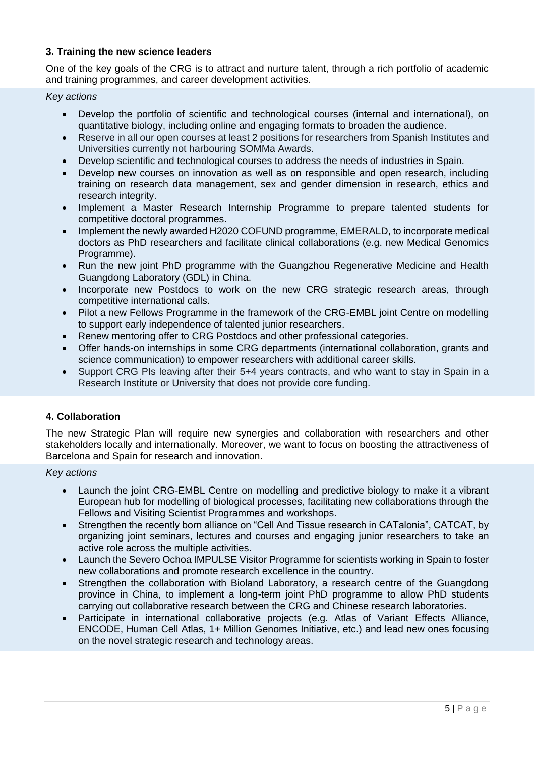## **3. Training the new science leaders**

One of the key goals of the CRG is to attract and nurture talent, through a rich portfolio of academic and training programmes, and career development activities.

*Key actions*

- Develop the portfolio of scientific and technological courses (internal and international), on quantitative biology, including online and engaging formats to broaden the audience.
- Reserve in all our open courses at least 2 positions for researchers from Spanish Institutes and Universities currently not harbouring SOMMa Awards.
- Develop scientific and technological courses to address the needs of industries in Spain.
- Develop new courses on innovation as well as on responsible and open research, including training on research data management, sex and gender dimension in research, ethics and research integrity.
- Implement a Master Research Internship Programme to prepare talented students for competitive doctoral programmes.
- Implement the newly awarded H2020 COFUND programme, EMERALD, to incorporate medical doctors as PhD researchers and facilitate clinical collaborations (e.g. new Medical Genomics Programme).
- Run the new joint PhD programme with the Guangzhou Regenerative Medicine and Health Guangdong Laboratory (GDL) in China.
- Incorporate new Postdocs to work on the new CRG strategic research areas, through competitive international calls.
- Pilot a new Fellows Programme in the framework of the CRG-EMBL joint Centre on modelling to support early independence of talented junior researchers.
- Renew mentoring offer to CRG Postdocs and other professional categories.
- Offer hands-on internships in some CRG departments (international collaboration, grants and science communication) to empower researchers with additional career skills.
- Support CRG PIs leaving after their 5+4 years contracts, and who want to stay in Spain in a Research Institute or University that does not provide core funding.

#### **4. Collaboration**

The new Strategic Plan will require new synergies and collaboration with researchers and other stakeholders locally and internationally. Moreover, we want to focus on boosting the attractiveness of Barcelona and Spain for research and innovation.

*Key actions*

- Launch the joint CRG-EMBL Centre on modelling and predictive biology to make it a vibrant European hub for modelling of biological processes, facilitating new collaborations through the Fellows and Visiting Scientist Programmes and workshops.
- Strengthen the recently born alliance on "Cell And Tissue research in CATalonia", CATCAT, by organizing joint seminars, lectures and courses and engaging junior researchers to take an active role across the multiple activities.
- Launch the Severo Ochoa IMPULSE Visitor Programme for scientists working in Spain to foster new collaborations and promote research excellence in the country.
- Strengthen the collaboration with Bioland Laboratory, a research centre of the Guangdong province in China, to implement a long-term joint PhD programme to allow PhD students carrying out collaborative research between the CRG and Chinese research laboratories.
- Participate in international collaborative projects (e.g. Atlas of Variant Effects Alliance, ENCODE, Human Cell Atlas, 1+ Million Genomes Initiative, etc.) and lead new ones focusing on the novel strategic research and technology areas.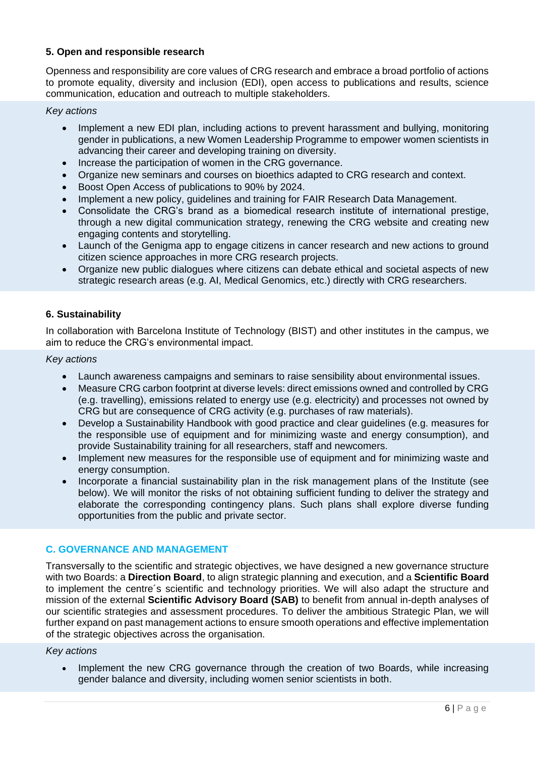#### **5. Open and responsible research**

Openness and responsibility are core values of CRG research and embrace a broad portfolio of actions to promote equality, diversity and inclusion (EDI), open access to publications and results, science communication, education and outreach to multiple stakeholders.

*Key actions*

- Implement a new EDI plan, including actions to prevent harassment and bullying, monitoring gender in publications, a new Women Leadership Programme to empower women scientists in advancing their career and developing training on diversity.
- Increase the participation of women in the CRG governance.
- Organize new seminars and courses on bioethics adapted to CRG research and context.
- Boost Open Access of publications to 90% by 2024.
- Implement a new policy, guidelines and training for FAIR Research Data Management.
- Consolidate the CRG's brand as a biomedical research institute of international prestige, through a new digital communication strategy, renewing the CRG website and creating new engaging contents and storytelling.
- Launch of the Genigma app to engage citizens in cancer research and new actions to ground citizen science approaches in more CRG research projects.
- Organize new public dialogues where citizens can debate ethical and societal aspects of new strategic research areas (e.g. AI, Medical Genomics, etc.) directly with CRG researchers.

#### **6. Sustainability**

In collaboration with Barcelona Institute of Technology (BIST) and other institutes in the campus, we aim to reduce the CRG's environmental impact.

#### *Key actions*

- Launch awareness campaigns and seminars to raise sensibility about environmental issues.
- Measure CRG carbon footprint at diverse levels: direct emissions owned and controlled by CRG (e.g. travelling), emissions related to energy use (e.g. electricity) and processes not owned by CRG but are consequence of CRG activity (e.g. purchases of raw materials).
- Develop a Sustainability Handbook with good practice and clear guidelines (e.g. measures for the responsible use of equipment and for minimizing waste and energy consumption), and provide Sustainability training for all researchers, staff and newcomers.
- Implement new measures for the responsible use of equipment and for minimizing waste and energy consumption.
- Incorporate a financial sustainability plan in the risk management plans of the Institute (see below). We will monitor the risks of not obtaining sufficient funding to deliver the strategy and elaborate the corresponding contingency plans. Such plans shall explore diverse funding opportunities from the public and private sector.

#### **C. GOVERNANCE AND MANAGEMENT**

Transversally to the scientific and strategic objectives, we have designed a new governance structure with two Boards: a **Direction Board**, to align strategic planning and execution, and a **Scientific Board** to implement the centre´s scientific and technology priorities. We will also adapt the structure and mission of the external **Scientific Advisory Board (SAB)** to benefit from annual in-depth analyses of our scientific strategies and assessment procedures. To deliver the ambitious Strategic Plan, we will further expand on past management actions to ensure smooth operations and effective implementation of the strategic objectives across the organisation.

#### *Key actions*

 Implement the new CRG governance through the creation of two Boards, while increasing gender balance and diversity, including women senior scientists in both.